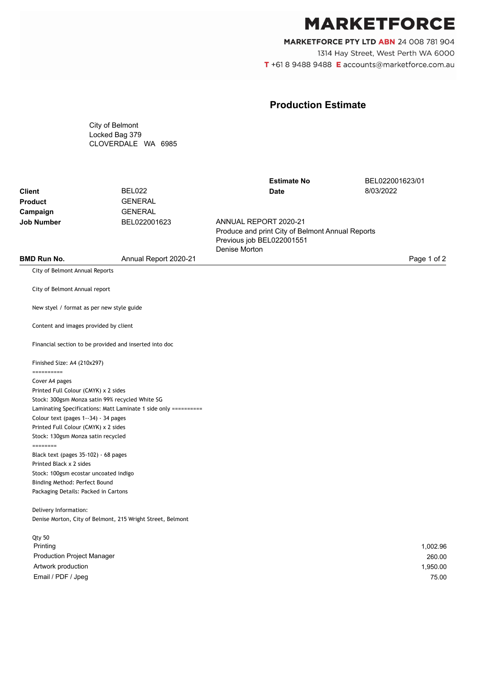## **MARKETFORCE**

MARKETFORCE PTY LTD ABN 24 008 781 904 1314 Hay Street, West Perth WA 6000 T +61 8 9488 9488 E accounts@marketforce.com.au

## **Production Estimate**

City of Belmont Locked Bag 379 CLOVERDALE WA 6985

|                                |                       | <b>Estimate No</b>                                                                                                      | BEL022001623/01 |
|--------------------------------|-----------------------|-------------------------------------------------------------------------------------------------------------------------|-----------------|
| <b>Client</b>                  | BEL022                | Date                                                                                                                    | 8/03/2022       |
| <b>Product</b>                 | <b>GENERAL</b>        |                                                                                                                         |                 |
| Campaign                       | <b>GENERAL</b>        |                                                                                                                         |                 |
| <b>Job Number</b>              | BEL022001623          | ANNUAL REPORT 2020-21<br>Produce and print City of Belmont Annual Reports<br>Previous job BEL022001551<br>Denise Morton |                 |
| <b>BMD Run No.</b>             | Annual Report 2020-21 |                                                                                                                         | Page 1 of 2     |
| City of Belmont Annual Reports |                       |                                                                                                                         |                 |

City of Belmont Annual report

New styel / format as per new style guide

Content and images provided by client

Financial section to be provided and inserted into doc

Finished Size: A4 (210x297)

========== Cover A4 pages Printed Full Colour (CMYK) x 2 sides Stock: 300gsm Monza satin 99% recycled White SG Laminating Specifications: Matt Laminate 1 side only ========== Colour text (pages 1--34) - 34 pages Printed Full Colour (CMYK) x 2 sides Stock: 130gsm Monza satin recycled ======== Black text (pages 35-102) - 68 pages Printed Black x 2 sides Stock: 100gsm ecostar uncoated indigo Binding Method: Perfect Bound Packaging Details: Packed in Cartons

Delivery Information: Denise Morton, City of Belmont, 215 Wright Street, Belmont

| Qty 50                            |          |
|-----------------------------------|----------|
| Printing                          | 1,002.96 |
| <b>Production Project Manager</b> | 260.00   |
| Artwork production                | 1,950.00 |
| Email / PDF / Jpeg                | 75.00    |